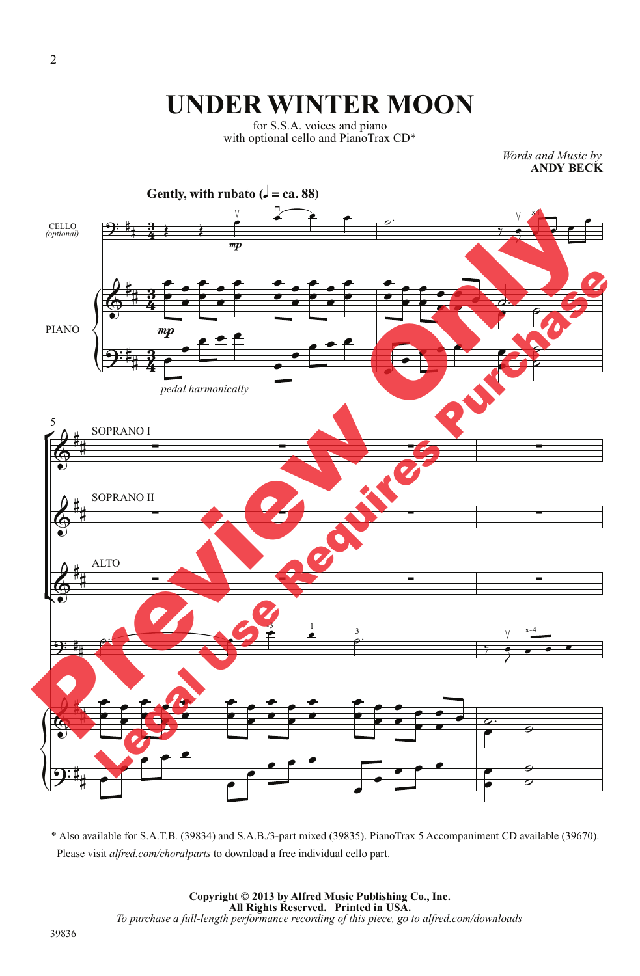## **UNDER WINTER MOON**

for S.S.A. voices and piano with optional cello and PianoTrax CD\*

> *Words and Music by* **ANDY BECK**



 \* Also available for S.A.T.B. (39834) and S.A.B./3-part mixed (39835). PianoTrax 5 Accompaniment CD available (39670). Please visit *alfred.com/choralparts* to download a free individual cello part.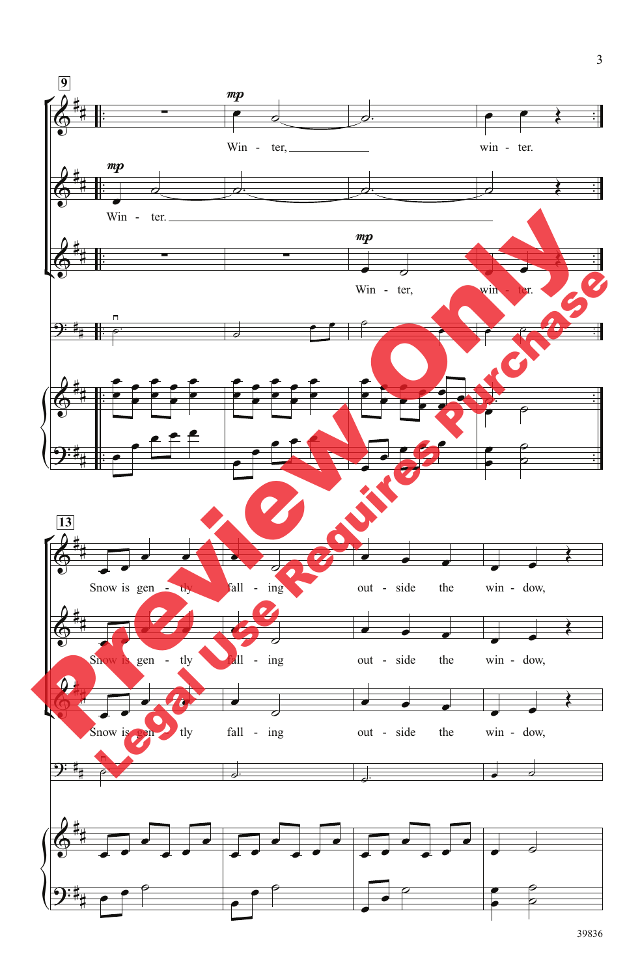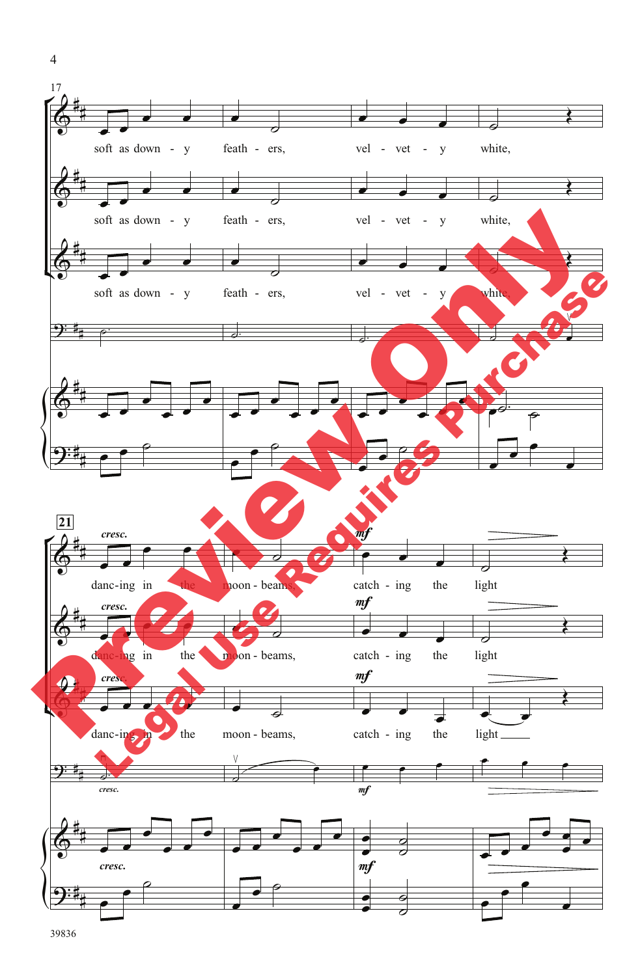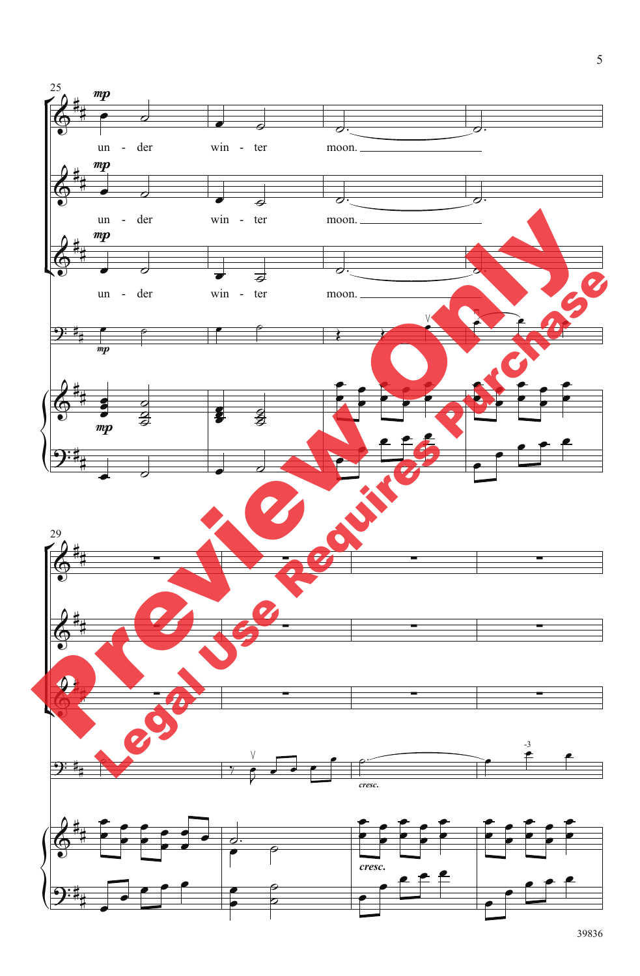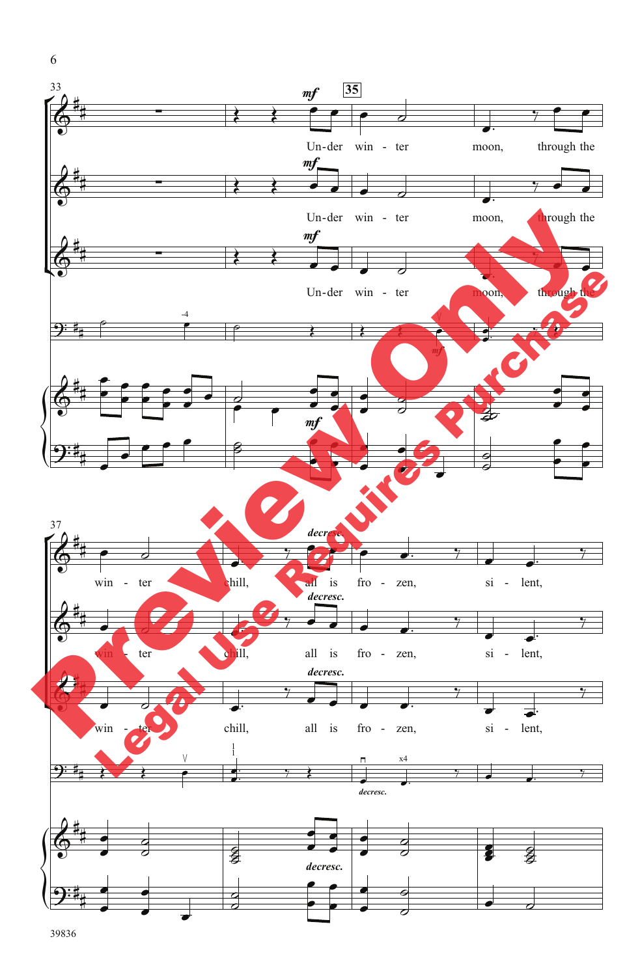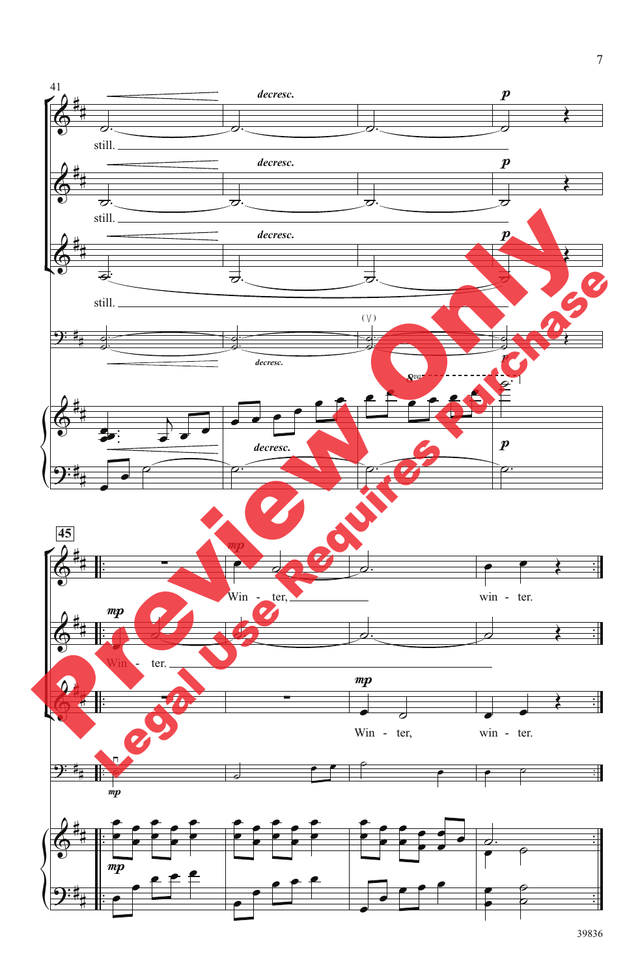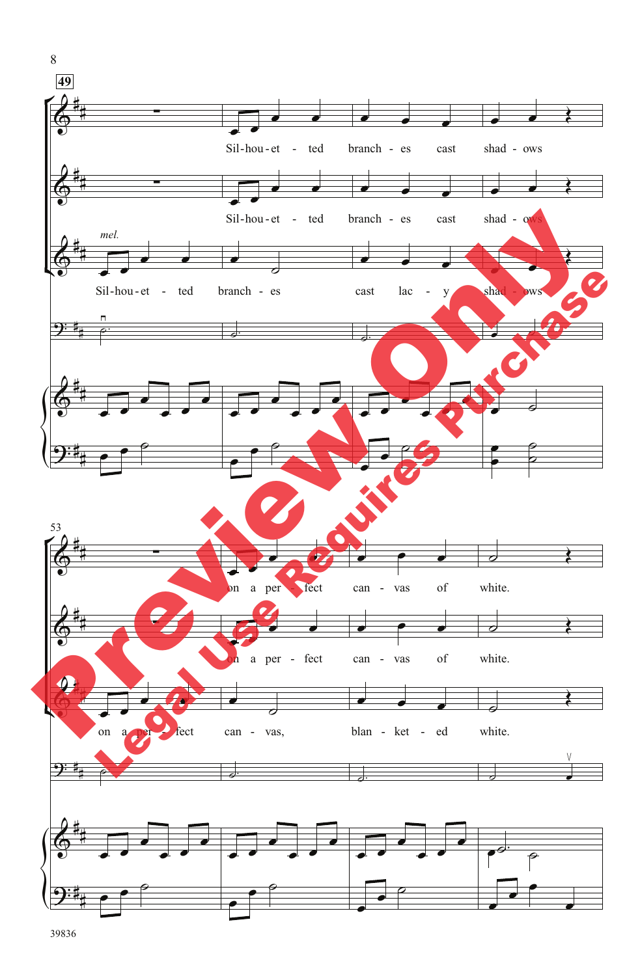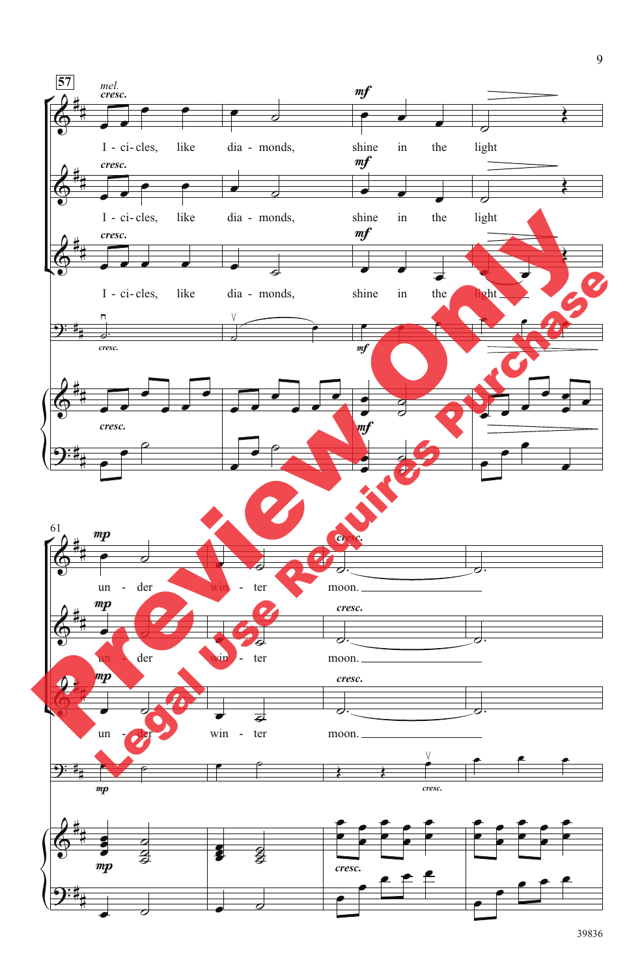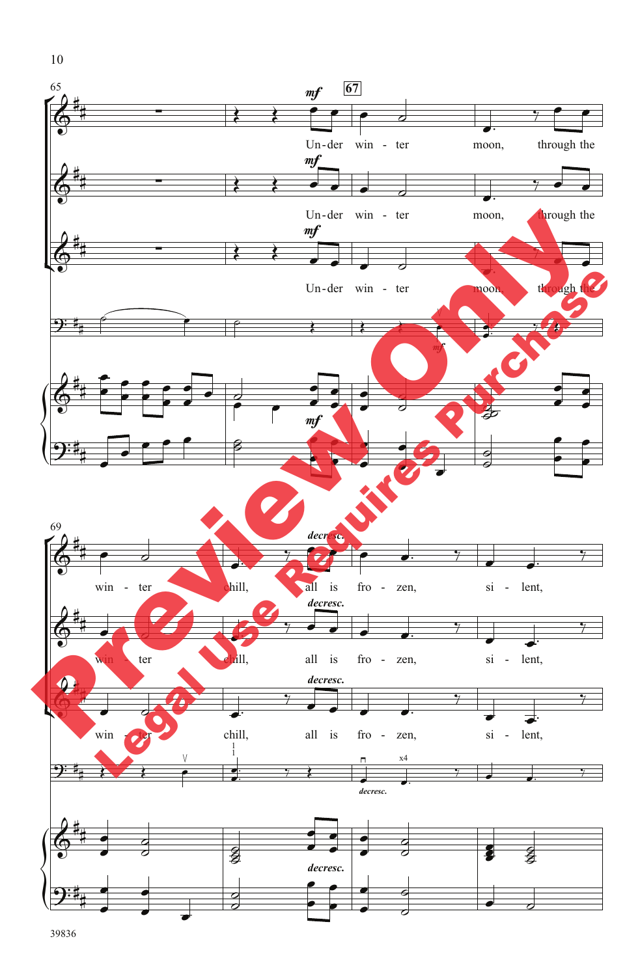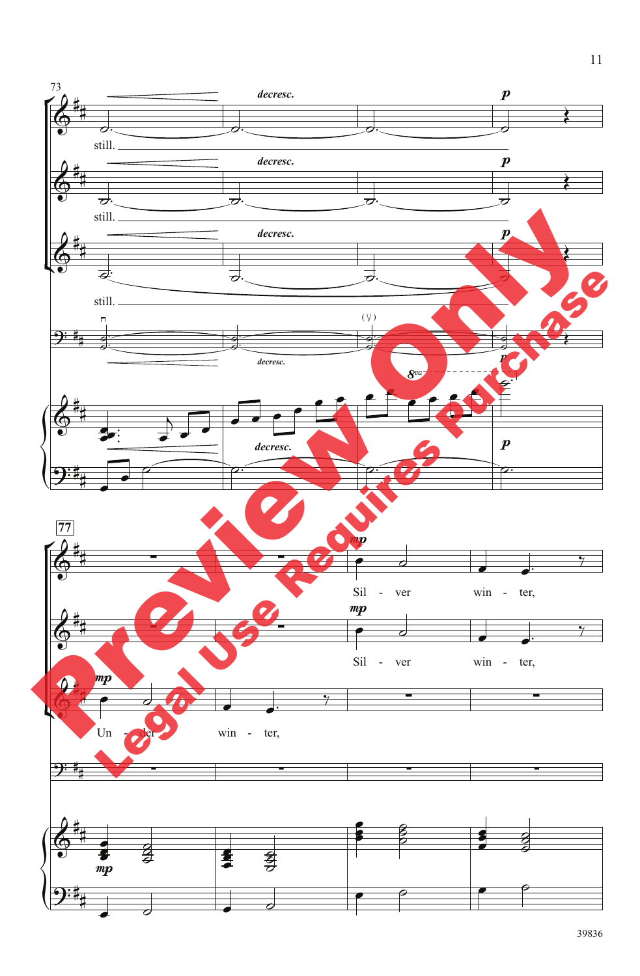